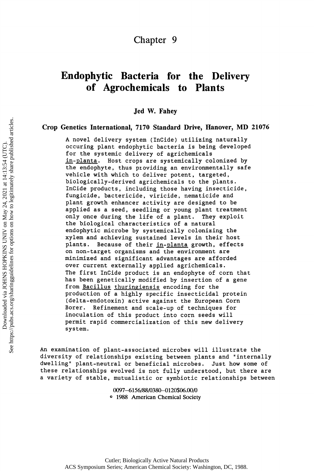# **Endophytic Bacteria for the Delivery of Agrochemicals to Plants**

**Jed W. Fahey** 

# **Crop Genetics International, 7170 Standard Drive, Hanover, MD 21076**

**A novel delivery system (InCide) utilizing naturally occuring plant endophytic bacteria is being developed for the systemic delivery of agrichemicals in-planta. Host crops are systemically colonized by the endophyte, thus providing an environmentally safe vehicle with which to deliver potent, targeted, biologically-derived agrichemicals to the plants. InCide products, including those having insecticide, fungicide, bactericide, viricide, nematicide and plant growth enhancer activity are designed to be applied as a seed, seedling or young plant treatment only once during the life of a plant. They exploit the biological characteristics of a natural endophytic microbe by systemically colonizing the xylem and achieving sustained levels in their host plants. Because of their in-planta growth, effects on non-target organisms and the environment are minimized and significant advantages are afforded over current externally applied agrichemicals. The first InCide product is an endophyte of corn that has been genetically modified by insertion of a gene from Bacillus thuringiensis encoding for the production of a highly specific insecticidal protein (delta-endotoxin) active against the European Corn Borer. Refinement and scale-up of techniques for inoculation of this product into corn seeds will permit rapid commercialization of this new delivery system.** 

An examination of plant-associated microbes will illustrate the diversity of relationships existing between plants and "internally dwelling" plant-neutral or beneficial microbes. Just how some of these relationships evolved is not fully understood, but there are a variety of stable, mutualistic or symbiotic relationships between

> **0097-6156/88/0380-0120\$06.00/0 ° 1988 American Chemical Society**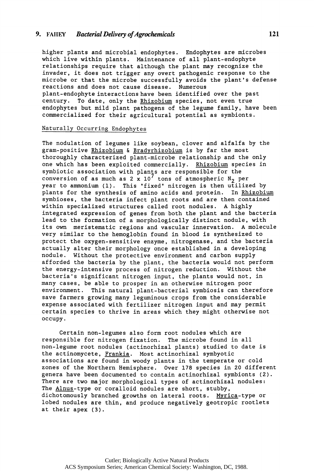# **9. FAIIEY** *Bacterial Delivery of Agrochemicals 121*

higher plants and microbial endophytes. Endophytes are microbes which live within plants. Maintenance of all plant-endophyte relationships require that although the plant may recognize the invader, it does not trigger any overt pathogenic response to the microbe or that the microbe successfully avoids the plant's defense reactions and does not cause disease. Numerous plant-endophyte interactions have been identified over the past century. To date, only the Rhizobium species, not even true endophytes but mild plant pathogens of the legume family, have been commercialized for their agricultural potential as symbionts.

#### Naturally Occurring Endophytes

The nodulation of legumes like soybean, clover and alfalfa by the gram-positive Rhizobium & Bradyrhizobium is by far the most thoroughly characterized plant-microbe relationship and the only one which has been exploited commercially. Rhizobium species in symbiotic association with plants are responsible for the conversion of as much as  $2 \times 10^7$  tons of atmospheric N<sub>2</sub> per year to ammonium (1). This "fixed" nitrogen is then utilized by plants for the synthesis of amino acids and protein. In Rhizobium symbioses, the bacteria infect plant roots and are then contained within specialized structures called root nodules. A highly integrated expression of genes from both the plant and the bacteria lead to the formation of a morphologically distinct nodule, with its own meristematic regions and vascular innervation. A molecule very similar to the hemoglobin found in blood is synthesized to protect the oxygen-sensitive enzyme, nitrogenase, and the bacteria actually alter their morphology once established in a developing nodule. Without the protective environment and carbon supply afforded the bacteria by the plant, the bacteria would not perform the energy-intensive process of nitrogen reduction. Without the bacteria's significant nitrogen input, the plants would not, in many cases, be able to prosper in an otherwise nitrogen poor environment. This natural plant-bacterial symbiosis can therefore save farmers growing many leguminous crops from the considerable expense associated with fertilizer nitrogen input and may permit certain species to thrive in areas which they might otherwise not occupy .

Certain non-legumes also form root nodules which are responsible for nitrogen fixation. The microbe found in all non-legume root nodules (actinorhizal plants) studied to date is the actinomycete, Frankia. Most actinorhizal symbyotic associations are found in woody plants in the temperate or cold zones of the Northern Hemisphere. Over 178 species in 20 different genera have been documented to contain actinorhizal symbionts  $(2)$ . There are two major morphological types of actinorhizal nodules: The Alnus-type or coralloid nodules are short, stubby, dichotomously branched growths on lateral roots. Myrica-type or lobed nodules are thin, and produce negatively geotropic rootlets at their apex (3).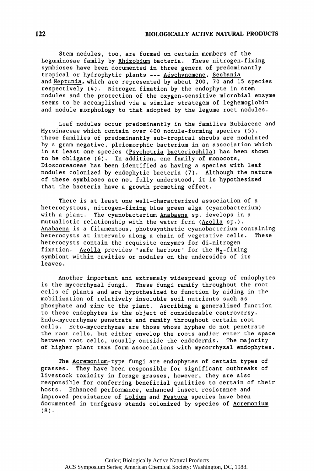Stem nodules, too, are formed on certain members of the Leguminosae family by Rhizobium bacteria. These nitrogen-fixing symbioses have been documented in three genera of predominantly tropical or hydrophytic plants --- Aeschynomene, Sesbania and Neptunia, which are represented by about 200, 70 and 15 species respectively (4). Nitrogen fixation by the endophyte in stem nodules and the protection of the oxygen-sensitive microbial enzyme seems to be accomplished via a similar strategem of leghemoglobin and nodule morphology to that adopted by the legume root nodules.

Leaf nodules occur predominantly in the families Rubiaceae and Myrsinaceae which contain over 400 nodule-forming species (5). These families of predominantly sub-tropical shrubs are nodulated by a gram negative, pleiomorphic bacterium in an association which in at least one species (Psychotria bacteriophila) has been shown to be obligate (6). In addition, one family of monocots, Dioscoreaceae has been identified as having a species with leaf nodules colonized by endophytic bacteria (7). Although the nature of these symbioses are not fully understood, it is hypothesized that the bacteria have a growth promoting effect.

There is at least one well-characterized association of a heterocystous, nitrogen-fixing blue green alga (cyanobacterium) with a plant. The cyanobacterium Anabaena sp. develops in a mutualistic relationship with the water fern (Azolla sp.). Anabaena is a filamentous, photosynthetic cyanobacterium containing heterocysts at intervals along a chain of vegetative cells. These heterocysts contain the requisite enzymes for di-nitrogen fixation. Azolla provides "safe harbour" for the  $N_2$ -fixing symbiont within cavities or nodules on the undersides of its leaves .

Another important and extremely widespread group of endophytes is the mycorrhyzal fungi. These fungi ramify throughout the root cells of plants and are hypothesized to function by aiding in the mobilization of relatively insoluble soil nutrients such as phosphate and zinc to the plant. Ascribing a generalized function to these endophytes is the object of considerable controversy. Endo-mycorrhyzae penetrate and ramify throughout certain root cells. Ecto-mycorrhyzae are those whose hyphae do not penetrate the root cells, but either envelop the roots and/or enter the space between root cells, usually outside the endodermis. The majority of higher plant taxa form associations with mycorrhyzal endophytes.

The Acremonium-type fungi are endophytes of certain types of grasses. They have been responsible for significant outbreaks of livestock toxicity in forage grasses, however, they are also responsible for conferring beneficial qualities to certain of their hosts. Enhanced performance, enhanced insect resistance and improved persistance of Lolium and Festuca species have been documented in turfgrass stands colonized by species of Acremonium (8) .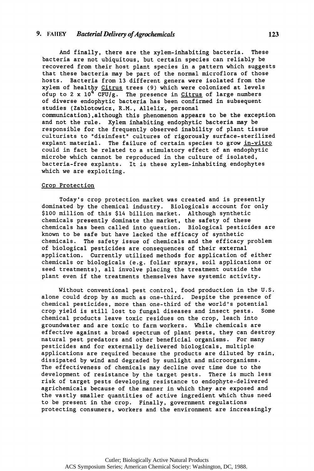# **9.** FAHEY *Bacterial Delivery of Agrochemicals* **123**

And finally, there are the xylem-inhabiting bacteria. These bacteria are not ubiquitous, but certain species can reliably be recovered from their host plant species in a pattern which suggests that these bacteria may be part of the normal microflora of those hosts. Bacteria from 13 different genera were isolated from the xylem of healthy Citrus trees (9) which were colonized at levels ofup to 2 x  $10^{4}$  CFU/g. The presence in Citrus of large numbers of diverse endophytic bacteria has been confirmed in subsequent studies (Zablotowicz, R.M., Allelix, personal communication), although this phenomenon appears to be the exception and not the rule. Xylem inhabiting endophytic bacteria may be responsible for the frequently observed inability of plant tissue culturists to "disinfest" cultures of rigorously surface-sterilized explant material. The failure of certain species to grow in-vitro could in fact be related to a stimulatory effect of an endophytic microbe which cannot be reproduced in the culture of isolated, bacteria-free explants. It is these xylem-inhabiting endophytes which we are exploiting.

#### Crop Protection

Today's crop protection market was created and is presently dominated by the chemical industry. Biologicals account for only \$100 million of this \$14 billion market. Although synthetic chemicals presently dominate the market, the safety of these chemicals has been called into question. Biological pesticides are known to be safe but have lacked the efficacy of synthetic chemicals. The safety issue of chemicals and the efficacy problem of biological pesticides are consequences of their external application. Currently utilized methods for application of either chemicals or biologicals (e.g. foliar sprays, soil applications or seed treatments), all involve placing the treatment outside the plant even if the treatments themselves have systemic activity.

Without conventional pest control, food production in the U.S. alone could drop by as much as one-third. Despite the presence of chemical pesticides, more than one-third of the world's potential<br>crop yield is still lost to fungal diseases and insect pests. Some crop yield is still lost to fungal diseases and insect pests. chemical products leave toxic residues on the crop, leach into groundwater and are toxic to farm workers. While chemicals are effective against a broad spectrum of plant pests, they can destroy natural pest predators and other beneficial organisms. For many pesticides and for externally delivered biologicals, multiple applications are required because the products are diluted by rain, dissipated by wind and degraded by sunlight and microorganisms. The effectiveness of chemicals may decline over time due to the development of resistance by the target pests. There is much less risk of target pests developing resistance to endophyte-delivered agrichemicals because of the manner in which they are exposed and the vastly smaller quantities of active ingredient which thus need to be present in the crop. Finally, government regulations protecting consumers, workers and the environment are increasingly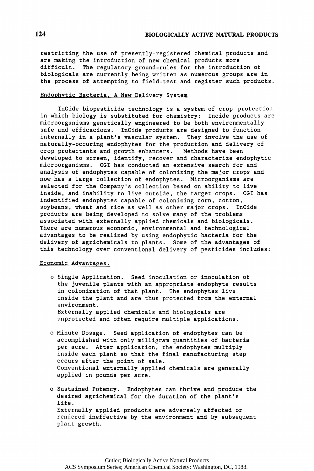restricting the use of presently-registered chemical products and are making the introduction of new chemical products more difficult. The regulatory ground-rules for the introduction of biologicals are currently being written as numerous groups are in the process of attempting to field-test and register such products.

## Endophytic Bacteria, A New Delivery System

InCide biopesticide technology is a system of crop protection in which biology is substituted for chemistry: Incide products are microorganisms genetically engineered to be both environmentally safe and efficacious. InCide products are designed to function internally in a plant's vascular system. They involve the use of naturally-occuring endophytes for the production and delivery of crop protectants and growth enhancers. Methods have been developed to screen, identify, recover and characterize endophytic microorganisms. CGI has conducted an extensive search for and analysis of endophytes capable of colonizing the major crops and now has a large collection of endophytes. Microorganisms are selected for the Company's collection based on ability to live inside, and inability to live outside, the target crops. CGI has indentified endophytes capable of colonizing corn, cotton, soybeans, wheat and rice as well as other major crops. InCide products are being developed to solve many of the problems associated with externally applied chemicals and biologicals. There are numerous economic, environmental and technological advantages to be realized by using endophytic bacteria for the delivery of agrichemicals to plants. Some of the advantages of this technology over conventional delivery of pesticides includes:

# Economic Advantages.

- o Single Application. Seed inoculation or inoculation of the juvenile plants with an appropriate endophyte results in colonization of that plant. The endophytes live inside the plant and are thus protected from the external environment . Externally applied chemicals and biologicals are unprotected and often require multiple applications.
- o Minute Dosage. Seed application of endophytes can be accomplished with only milligram quantities of bacteria per acre. After application, the endophytes multiply inside each plant so that the final manufacturing step occurs after the point of sale. Conventional externally applied chemicals are generally applied in pounds per acre.
- o Sustained Potency. Endophytes can thrive and produce the desired agrichemical for the duration of the plant's life . Externally applied products are adversely affected or rendered ineffective by the environment and by subsequent plant growth.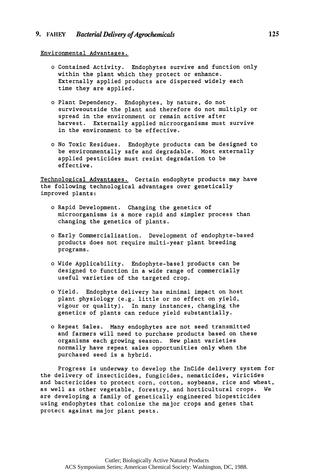## Environmental Advantages.

- o Contained Activity. Endophytes survive and function only within the plant which they protect or enhance. Externally applied products are dispersed widely each time they are applied.
- o Plant Dependency. Endophytes, by nature, do not surviveoutside the plant and therefore do not multiply or spread in the environment or remain active after harvest. Externally applied microorganisms must survive in the environment to be effective.
- o No Toxic Residues. Endophyte products can be designed to be environmentally safe and degradable. Most externally applied pesticides must resist degradation to be effective .

Technological Advantages. Certain endophyte products may have the following technological advantages over genetically improved plants:

- o Rapid Development. Changing the genetics of microorganisms is a more rapid and simpler process than changing the genetics of plants.
- o Early Commercialization. Development of endophyte-based products does not require multi-year plant breeding programs .
- o Wide Applicability. Endophyte-basei products can be designed to function in a wide range of commercially useful varieties of the targeted crop.
- o Yield. Endophyte delivery has minimal impact on host plant physiology (e.g. little or no effect on yield, vigour or quality). In many instances, changing the genetics of plants can reduce yield substantially.
- o Repeat Sales. Many endophytes are not seed transmitted and farmers will need to purchase products based on these organisms each growing season. New plant varieties normally have repeat sales opportunities only when the purchased seed is a hybrid.

Progress is underway to develop the InCide delivery system for the delivery of insecticides, fungicides, nematicides, viricides and bactericides to protect corn, cotton, soybeans, rice and wheat, as well as other vegetable, forestry, and horticultural crops. We are developing a family of genetically engineered biopesticides using endophytes that colonize the major crops and genes that protect against major plant pests.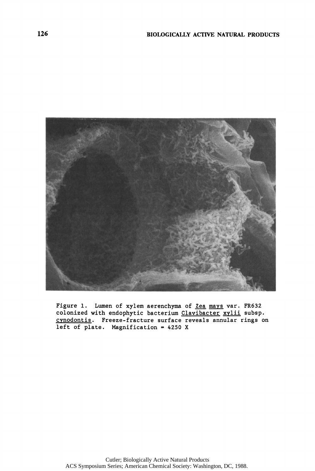

Figure 1. Lumen of xylem aerenchyma of Zea mays var. FR632 colonized with endophytic bacterium Clavibacter xylii subsp. cynodontis. Freeze-fracture surface reveals annular rings on left of plate. Magnification =  $4250 X$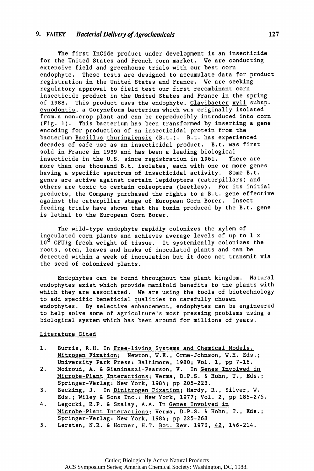**The first InCide product under development is an insecticide for the United States and French corn market. We are conducting extensive field and greenhouse trials with our best corn endophyte. These tests are designed to accumulate data for product registration in the United States and France. We are seeking regulatory approval to field test our first recombinant corn insecticide product in the United States and France in the spring of 1988. This product uses the endophyte, Clavibacter xyli subsp. cynodontis. a Coryneform bacterium which was originally isolated from-a non-crop plant and can be reproducibly introduced into corn (Fig. 1). This bacterium has been transformed by inserting a gene encoding for production of an insecticidal protein from the bacterium Bacillus thuringiensis (B.t.). B.t. has experienced decades of safe use as an insecticidal product. B.t. was first sold in France in 1939 and has been a leading biological insecticide in the U.S. since registration in 1961. There are more than one thousand B.t. isolates, each with one or more genes having a specific spectrum of insecticidal activity. Some B.t. genes are active against certain lepidoptera (caterpillars) and others are toxic to certain coleoptera (beetles). For its initial products, the Company purchased the rights to a B.t. gene effective against the caterpillar stage of European Corn Borer. Insect feeding trials have shown that the toxin produced by the B.t. gene is lethal to the European Corn Borer.** 

**The wild-type endophyte rapidly colonizes the xylem of inoculated corn plants and achieves average levels of up to 1 x 10<sup>8</sup> CFU/g fresh weight of tissue. It systemically colonizes the roots, stem, leaves and husks of inoculated plants and can be detected within a week of inoculation but it does not transmit via the seed of colonized plants.** 

**Endophytes can be found throughout the plant kingdom. Natural endophytes exist which provide manifold benefits to the plants with which they are associated. We are using the tools of biotechnology to add specific beneficial qualities to carefully chosen endophytes. By selective enhancement, endophytes can be engineered to help solve some of agriculture's most pressing problems using a biological system which has been around for millions of years.** 

#### **Literature Cited**

- **1. Burris, R.H. In Free-living Systems and Chemical Models. Nitrogen Fixation; Newton, W.E., Orme-Johnson, W.H. Eds.; University Park Press: Baltimore, 1980; Vol. 1, pp 7-16.**
- **2. Moiroud, A. & Gianinazzi-Pearson, V. In Genes Involved in Microbe-Plant Interactions; Verma, D.P.S. & Hohn, T., Eds.; Springer-Verlag: New York, 1984; pp 205-223.**
- **3. Becking, J. In Dinitrogen Fixation; Hardy, R., Silver, W. Eds.; Wiley & Sons Inc.: New York, 1977; Vol. 2, pp 185-275.**
- **4. Legocki, R.P. & Szalay, A.A. In Genes Involved in Microbe-Plant Interactions; Verma, D.P.S. & Hohn, T., Eds.; Springer-Verlag: New York, 1984; pp 225-268**
- **5. Lersten, N.R. & Horner, H.T. Bot. Rev. 1976, 42, 146-214.**